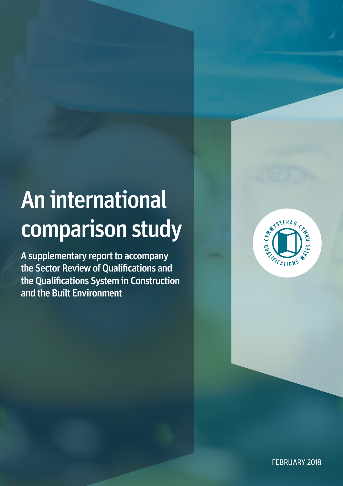# An international comparison study

A supplementary report to accompany the Sector Review of Qualifications and the Qualifications System in Construction and the Built Environment



FEBRUARY 2018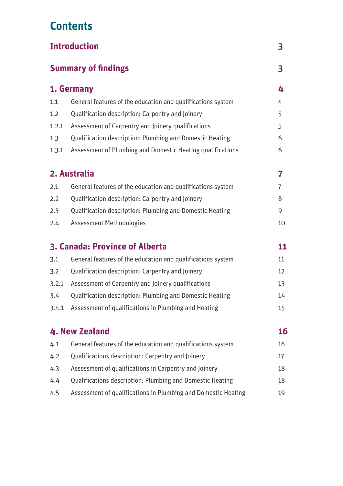# **Contents**

| <b>Introduction</b> |                                                                  | 3              |
|---------------------|------------------------------------------------------------------|----------------|
|                     | <b>Summary of findings</b>                                       |                |
| 1. Germany          |                                                                  | 4              |
| 1.1                 | General features of the education and qualifications system      | 4              |
| 1.2                 | Qualification description: Carpentry and Joinery                 | 5              |
| 1.2.1               | Assessment of Carpentry and Joinery qualifications               | 5              |
| 1.3                 | <b>Qualification description: Plumbing and Domestic Heating</b>  | 6              |
| 1.3.1               | Assessment of Plumbing and Domestic Heating qualifications       | 6              |
|                     | 2. Australia                                                     | 7              |
| 2.1                 | General features of the education and qualifications system      | $\overline{7}$ |
| 2.2                 | Qualification description: Carpentry and Joinery                 | 8              |
| 2.3                 | <b>Qualification description: Plumbing and Domestic Heating</b>  | 9              |
| 2.4                 | <b>Assessment Methodologies</b>                                  | 10             |
|                     | <b>3. Canada: Province of Alberta</b>                            | 11             |
| 3.1                 | General features of the education and qualifications system      | 11             |
| 3.2                 | Qualification description: Carpentry and Joinery                 | 12             |
| 3.2.1               | Assessment of Carpentry and Joinery qualifications               | 13             |
| 3.4                 | <b>Qualification description: Plumbing and Domestic Heating</b>  | 14             |
|                     | 3.4.1 Assessment of qualifications in Plumbing and Heating       | 15             |
|                     | 4. New Zealand                                                   | 16             |
| 4.1                 | General features of the education and qualifications system      | 16             |
| 4.2                 | Qualifications description: Carpentry and Joinery                | 17             |
| 4.3                 | Assessment of qualifications in Carpentry and Joinery            | 18             |
| 4.4                 | <b>Qualifications description: Plumbing and Domestic Heating</b> | 18             |
| 4.5                 | Assessment of qualifications in Plumbing and Domestic Heating    | 19             |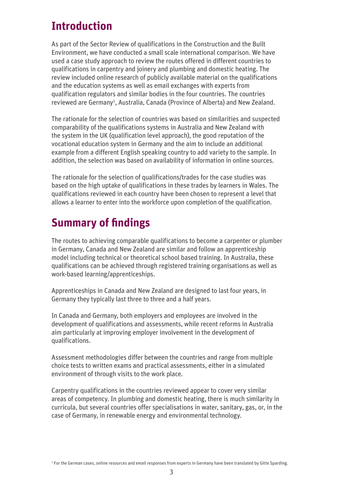## **Introduction**

As part of the Sector Review of qualifications in the Construction and the Built Environment, we have conducted a small scale international comparison. We have used a case study approach to review the routes offered in different countries to qualifications in carpentry and joinery and plumbing and domestic heating. The review included online research of publicly available material on the qualifications and the education systems as well as email exchanges with experts from qualification regulators and similar bodies in the four countries. The countries reviewed are Germany<sup>1</sup>, Australia, Canada (Province of Alberta) and New Zealand.

The rationale for the selection of countries was based on similarities and suspected comparability of the qualifications systems in Australia and New Zealand with the system in the UK (qualification level approach), the good reputation of the vocational education system in Germany and the aim to include an additional example from a different English speaking country to add variety to the sample. In addition, the selection was based on availability of information in online sources.

The rationale for the selection of qualifications/trades for the case studies was based on the high uptake of qualifications in these trades by learners in Wales. The qualifications reviewed in each country have been chosen to represent a level that allows a learner to enter into the workforce upon completion of the qualification.

# **Summary of findings**

The routes to achieving comparable qualifications to become a carpenter or plumber in Germany, Canada and New Zealand are similar and follow an apprenticeship model including technical or theoretical school based training. In Australia, these qualifications can be achieved through registered training organisations as well as work-based learning/apprenticeships.

Apprenticeships in Canada and New Zealand are designed to last four years, in Germany they typically last three to three and a half years.

In Canada and Germany, both employers and employees are involved in the development of qualifications and assessments, while recent reforms in Australia aim particularly at improving employer involvement in the development of qualifications.

Assessment methodologies differ between the countries and range from multiple choice tests to written exams and practical assessments, either in a simulated environment of through visits to the work place.

Carpentry qualifications in the countries reviewed appear to cover very similar areas of competency. In plumbing and domestic heating, there is much similarity in curricula, but several countries offer specialisations in water, sanitary, gas, or, in the case of Germany, in renewable energy and environmental technology.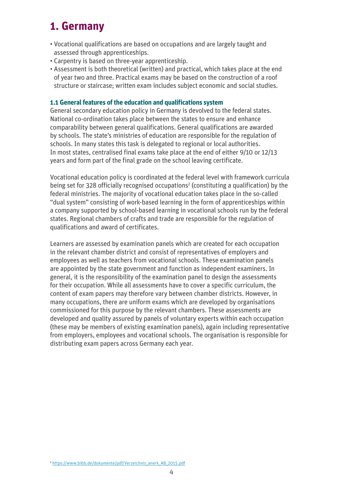### **1. Germany**

- Vocational qualifications are based on occupations and are largely taught and assessed through apprenticeships.
- Carpentry is based on three-year apprenticeship.
- Assessment is both theoretical (written) and practical, which takes place at the end of year two and three. Practical exams may be based on the construction of a roof structure or staircase; written exam includes subject economic and social studies.

#### **1.1 General features of the education and qualifications system**

General secondary education policy in Germany is devolved to the federal states. National co-ordination takes place between the states to ensure and enhance comparability between general qualifications. General qualifications are awarded by schools. The state's ministries of education are responsible for the regulation of schools. In many states this task is delegated to regional or local authorities. In most states, centralised final exams take place at the end of either 9/10 or 12/13 years and form part of the final grade on the school leaving certificate.

Vocational education policy is coordinated at the federal level with framework curricula being set for 328 officially recognised occupations<sup>2</sup> (constituting a qualification) by the federal ministries. The majority of vocational education takes place in the so-called "dual system" consisting of work-based learning in the form of apprenticeships within a company supported by school-based learning in vocational schools run by the federal states. Regional chambers of crafts and trade are responsible for the regulation of qualifications and award of certificates.

Learners are assessed by examination panels which are created for each occupation in the relevant chamber district and consist of representatives of employers and employees as well as teachers from vocational schools. These examination panels are appointed by the state government and function as independent examiners. In general, it is the responsibility of the examination panel to design the assessments for their occupation. While all assessments have to cover a specific curriculum, the content of exam papers may therefore vary between chamber districts. However, in many occupations, there are uniform exams which are developed by organisations commissioned for this purpose by the relevant chambers. These assessments are developed and quality assured by panels of voluntary experts within each occupation (these may be members of existing examination panels), again including representative from employers, employees and vocational schools. The organisation is responsible for distributing exam papers across Germany each year.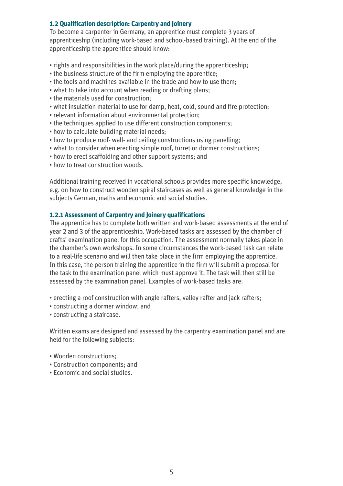#### **1.2 Qualification description: Carpentry and Joinery**

To become a carpenter in Germany, an apprentice must complete 3 years of apprenticeship (including work-based and school-based training). At the end of the apprenticeship the apprentice should know:

- rights and responsibilities in the work place/during the apprenticeship;
- the business structure of the firm employing the apprentice;
- the tools and machines available in the trade and how to use them;
- what to take into account when reading or drafting plans;
- the materials used for construction;
- what insulation material to use for damp, heat, cold, sound and fire protection;
- relevant information about environmental protection;
- the techniques applied to use different construction components;
- how to calculate building material needs;
- how to produce roof- wall- and ceiling constructions using panelling;
- what to consider when erecting simple roof, turret or dormer constructions;
- how to erect scaffolding and other support systems; and
- how to treat construction woods.

Additional training received in vocational schools provides more specific knowledge, e.g. on how to construct wooden spiral staircases as well as general knowledge in the subjects German, maths and economic and social studies.

#### **1.2.1 Assessment of Carpentry and Joinery qualifications**

The apprentice has to complete both written and work-based assessments at the end of year 2 and 3 of the apprenticeship. Work-based tasks are assessed by the chamber of crafts' examination panel for this occupation. The assessment normally takes place in the chamber's own workshops. In some circumstances the work-based task can relate to a real-life scenario and will then take place in the firm employing the apprentice. In this case, the person training the apprentice in the firm will submit a proposal for the task to the examination panel which must approve it. The task will then still be assessed by the examination panel. Examples of work-based tasks are:

- erecting a roof construction with angle rafters, valley rafter and jack rafters;
- constructing a dormer window; and
- constructing a staircase.

Written exams are designed and assessed by the carpentry examination panel and are held for the following subjects:

- Wooden constructions;
- Construction components; and
- Economic and social studies.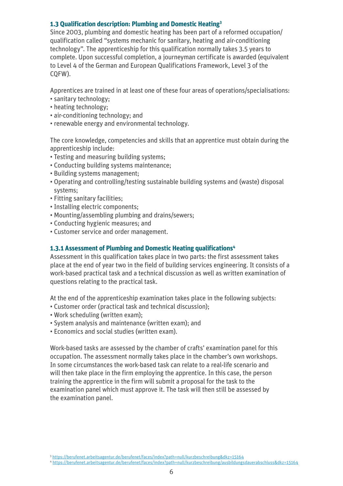#### **1.3 Qualification description: Plumbing and Domestic Heating3**

Since 2003, plumbing and domestic heating has been part of a reformed occupation/ qualification called "systems mechanic for sanitary, heating and air-conditioning technology". The apprenticeship for this qualification normally takes 3.5 years to complete. Upon successful completion, a journeyman certificate is awarded (equivalent to Level 4 of the German and European Qualifications Framework, Level 3 of the CQFW).

Apprentices are trained in at least one of these four areas of operations/specialisations:

- sanitary technology;
- heating technology;
- air-conditioning technology; and
- renewable energy and environmental technology.

The core knowledge, competencies and skills that an apprentice must obtain during the apprenticeship include:

- Testing and measuring building systems;
- Conducting building systems maintenance;
- Building systems management;
- Operating and controlling/testing sustainable building systems and (waste) disposal systems;
- Fitting sanitary facilities;
- Installing electric components;
- Mounting/assembling plumbing and drains/sewers;
- Conducting hygienic measures; and
- Customer service and order management.

#### **1.3.1 Assessment of Plumbing and Domestic Heating qualifications4**

Assessment in this qualification takes place in two parts: the first assessment takes place at the end of year two in the field of building services engineering. It consists of a work-based practical task and a technical discussion as well as written examination of questions relating to the practical task.

At the end of the apprenticeship examination takes place in the following subjects:

- Customer order (practical task and technical discussion);
- Work scheduling (written exam);
- System analysis and maintenance (written exam); and
- Economics and social studies (written exam).

Work-based tasks are assessed by the chamber of crafts' examination panel for this occupation. The assessment normally takes place in the chamber's own workshops. In some circumstances the work-based task can relate to a real-life scenario and will then take place in the firm employing the apprentice. In this case, the person training the apprentice in the firm will submit a proposal for the task to the examination panel which must approve it. The task will then still be assessed by the examination panel.

<sup>3</sup> <https://berufenet.arbeitsagentur.de/berufenet/faces/index?path=null/kurzbeschreibung&dkz=15164>

<sup>4</sup> <https://berufenet.arbeitsagentur.de/berufenet/faces/index?path=null/kurzbeschreibung/ausbildungsdauerabschluss&dkz=15164>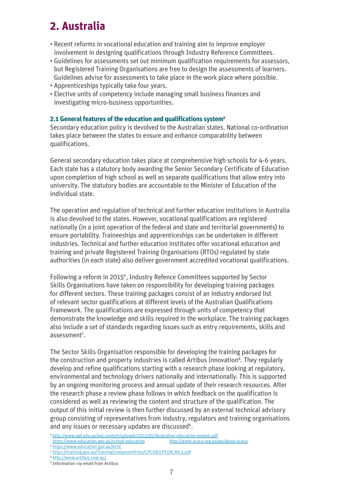## **2. Australia**

- Recent reforms in vocational education and training aim to improve employer involvement in designing qualifications through Industry Reference Committees.
- Guidelines for assessments set out minimum qualification requirements for assessors, but Registered Training Organisations are free to design the assessments of learners. Guidelines advise for assessments to take place in the work place where possible.
- Apprenticeships typically take four years.
- Elective units of competency include managing small business finances and investigating micro-business opportunities.

#### **2.1 General features of the education and qualifications system5**

Secondary education policy is devolved to the Australian states. National co-ordination takes place between the states to ensure and enhance comparability between qualifications.

General secondary education takes place at comprehensive high schools for 4-6 years. Each state has a statutory body awarding the Senior Secondary Certificate of Education upon completion of high school as well as separate qualifications that allow entry into university. The statutory bodies are accountable to the Minister of Education of the individual state.

The operation and regulation of technical and further education institutions in Australia is also devolved to the states. However, vocational qualifications are registered nationally (in a joint operation of the federal and state and territorial governments) to ensure portability. Traineeships and apprenticeships can be undertaken in different industries. Technical and further education institutes offer vocational education and training and private Registered Training Organisations (RTOs) regulated by state authorities (in each state) also deliver government accredited vocational qualifications.

Following a reform in 20156, Industry Refence Committees supported by Sector Skills Organisations have taken on responsibility for developing training packages for different sectors. These training packages consist of an industry endorsed list of relevant sector qualifications at different levels of the Australian Qualifications Framework. The qualifications are expressed through units of competency that demonstrate the knowledge and skills required in the workplace. The training packages also include a set of standards regarding issues such as entry requirements, skills and assessment<sup>7</sup>.

The Sector Skills Organisation responsible for developing the training packages for the construction and property industries is called Artibus Innovation<sup>8</sup>. They regularly develop and refine qualifications starting with a research phase looking at regulatory, environmental and technology drivers nationally and internationally. This is supported by an ongoing monitoring process and annual update of their research resources. After the research phase a review phase follows in which feedback on the qualification is considered as well as reviewing the content and structure of the qualification. The output of this initial review is then further discussed by an external technical advisory group consisting of representatives from industry, regulators and training organisations and any issues or necessary updates are discussed<sup>9</sup>.

<sup>6</sup> <https://www.education.gov.au/AISC>

<sup>8</sup> <http://www.artibus.com.au/>

<sup>5</sup> <http://www.aqf.edu.au/wp-content/uploads/2013/02/Australian-education-system.pdf> <https://www.education.gov.au/school-education>

<sup>7</sup> [https://training.gov.au/TrainingComponentFiles/CPC08/CPC08\\_R9.3.pdf](https://training.gov.au/TrainingComponentFiles/CPC08/CPC08_R9.3.pdf)

<sup>&</sup>lt;sup>9</sup> Information via email from Artibus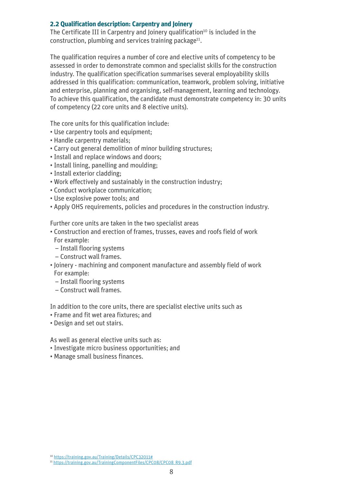#### **2.2 Qualification description: Carpentry and Joinery**

The Certificate III in Carpentry and Joinery qualification<sup>10</sup> is included in the construction, plumbing and services training package<sup>11</sup>.

The qualification requires a number of core and elective units of competency to be assessed in order to demonstrate common and specialist skills for the construction industry. The qualification specification summarises several employability skills addressed in this qualification: communication, teamwork, problem solving, initiative and enterprise, planning and organising, self-management, learning and technology. To achieve this qualification, the candidate must demonstrate competency in: 30 units of competency (22 core units and 8 elective units).

The core units for this qualification include:

- Use carpentry tools and equipment;
- Handle carpentry materials;
- Carry out general demolition of minor building structures;
- Install and replace windows and doors;
- Install lining, panelling and moulding;
- Install exterior cladding;
- Work effectively and sustainably in the construction industry;
- Conduct workplace communication;
- Use explosive power tools; and
- Apply OHS requirements, policies and procedures in the construction industry.

Further core units are taken in the two specialist areas

- Construction and erection of frames, trusses, eaves and roofs field of work For example:
	- Install flooring systems
	- Construct wall frames.
- Joinery machining and component manufacture and assembly field of work For example:
- Install flooring systems
- Construct wall frames.

In addition to the core units, there are specialist elective units such as

- Frame and fit wet area fixtures; and
- Design and set out stairs.

As well as general elective units such as:

- Investigate micro business opportunities; and
- Manage small business finances.

<sup>10</sup> <https://training.gov.au/Training/Details/CPC32011#>

<sup>11</sup> [https://training.gov.au/TrainingComponentFiles/CPC08/CPC08\\_R9.3.pdf](https://training.gov.au/TrainingComponentFiles/CPC08/CPC08_R9.3.pdf)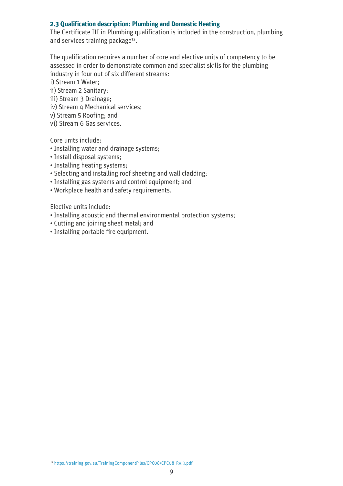#### **2.3 Qualification description: Plumbing and Domestic Heating**

The Certificate III in Plumbing qualification is included in the construction, plumbing and services training package<sup>12</sup>.

The qualification requires a number of core and elective units of competency to be assessed in order to demonstrate common and specialist skills for the plumbing industry in four out of six different streams:

i) Stream 1 Water;

ii) Stream 2 Sanitary;

- iii) Stream 3 Drainage;
- iv) Stream 4 Mechanical services;
- v) Stream 5 Roofing; and
- vi) Stream 6 Gas services.

Core units include:

- Installing water and drainage systems;
- Install disposal systems;
- Installing heating systems;
- Selecting and installing roof sheeting and wall cladding;
- Installing gas systems and control equipment; and
- Workplace health and safety requirements.

Elective units include:

- Installing acoustic and thermal environmental protection systems;
- Cutting and joining sheet metal; and
- Installing portable fire equipment.

<sup>12</sup> [https://training.gov.au/TrainingComponentFiles/CPC08/CPC08\\_R9.3.pdf](https://training.gov.au/TrainingComponentFiles/CPC08/CPC08_R9.3.pdf)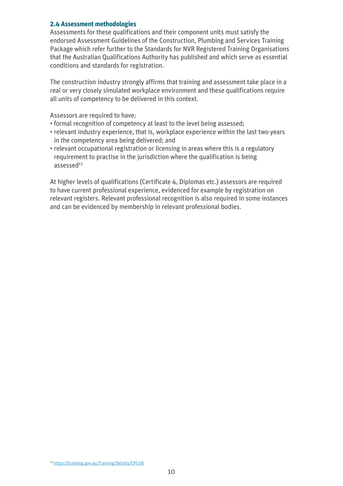#### **2.4 Assessment methodologies**

Assessments for these qualifications and their component units must satisfy the endorsed Assessment Guidelines of the Construction, Plumbing and Services Training Package which refer further to the Standards for NVR Registered Training Organisations that the Australian Qualifications Authority has published and which serve as essential conditions and standards for registration.

The construction industry strongly affirms that training and assessment take place in a real or very closely simulated workplace environment and these qualifications require all units of competency to be delivered in this context.

Assessors are required to have:

- formal recognition of competency at least to the level being assessed;
- relevant industry experience, that is, workplace experience within the last two years in the competency area being delivered; and
- relevant occupational registration or licensing in areas where this is a regulatory requirement to practise in the jurisdiction where the qualification is being  $assessed<sup>13</sup>$

At higher levels of qualifications (Certificate 4, Diplomas etc.) assessors are required to have current professional experience, evidenced for example by registration on relevant registers. Relevant professional recognition is also required in some instances and can be evidenced by membership in relevant professional bodies.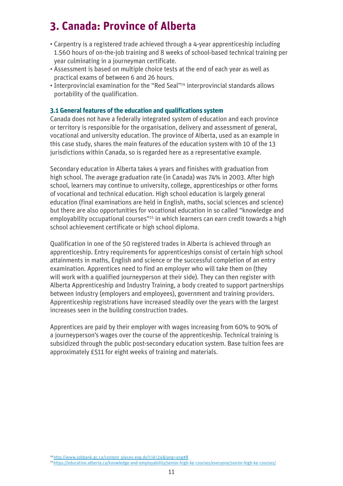# **3. Canada: Province of Alberta**

- Carpentry is a registered trade achieved through a 4-year apprenticeship including 1.560 hours of on-the-job training and 8 weeks of school-based technical training per year culminating in a journeyman certificate.
- Assessment is based on multiple choice tests at the end of each year as well as practical exams of between 6 and 26 hours.
- Interprovincial examination for the "Red Seal"14 interprovincial standards allows portability of the qualification.

#### **3.1 General features of the education and qualifications system**

Canada does not have a federally integrated system of education and each province or territory is responsible for the organisation, delivery and assessment of general, vocational and university education. The province of Alberta, used as an example in this case study, shares the main features of the education system with 10 of the 13 jurisdictions within Canada, so is regarded here as a representative example.

Secondary education in Alberta takes 4 years and finishes with graduation from high school. The average graduation rate (in Canada) was 74% in 2003. After high school, learners may continue to university, college, apprenticeships or other forms of vocational and technical education. High school education is largely general education (final examinations are held in English, maths, social sciences and science) but there are also opportunities for vocational education in so called "knowledge and employability occupational courses"<sup>15</sup> in which learners can earn credit towards a high school achievement certificate or high school diploma.

Qualification in one of the 50 registered trades in Alberta is achieved through an apprenticeship. Entry requirements for apprenticeships consist of certain high school attainments in maths, English and science or the successful completion of an entry examination. Apprentices need to find an employer who will take them on (they will work with a qualified journeyperson at their side). They can then register with Alberta Apprenticeship and Industry Training, a body created to support partnerships between industry (employers and employees), government and training providers. Apprenticeship registrations have increased steadily over the years with the largest increases seen in the building construction trades.

Apprentices are paid by their employer with wages increasing from 60% to 90% of a journeyperson's wages over the course of the apprenticeship. Technical training is subsidized through the public post-secondary education system. Base tuition fees are approximately £511 for eight weeks of training and materials.

14 [http://www.jobbank.gc.ca/content\\_pieces-eng.do?cid=24&lang=eng#R](http://www.jobbank.gc.ca/content_pieces-eng.do?cid=24&lang=eng#R)

15 <https://education.alberta.ca/knowledge-and-employability/senior-high-ke-courses/everyone/senior-high-ke-courses/>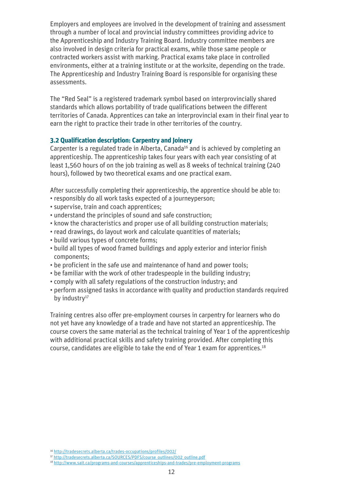Employers and employees are involved in the development of training and assessment through a number of local and provincial industry committees providing advice to the Apprenticeship and Industry Training Board. Industry committee members are also involved in design criteria for practical exams, while those same people or contracted workers assist with marking. Practical exams take place in controlled environments, either at a training institute or at the worksite, depending on the trade. The Apprenticeship and Industry Training Board is responsible for organising these assessments.

The "Red Seal" is a registered trademark symbol based on interprovincially shared standards which allows portability of trade qualifications between the different territories of Canada. Apprentices can take an interprovincial exam in their final year to earn the right to practice their trade in other territories of the country.

#### **3.2 Qualification description: Carpentry and Joinery**

Carpenter is a regulated trade in Alberta, Canada<sup>16</sup> and is achieved by completing an apprenticeship. The apprenticeship takes four years with each year consisting of at least 1,560 hours of on the job training as well as 8 weeks of technical training (240 hours), followed by two theoretical exams and one practical exam.

After successfully completing their apprenticeship, the apprentice should be able to: • responsibly do all work tasks expected of a journeyperson;

- supervise, train and coach apprentices;
- understand the principles of sound and safe construction;
- know the characteristics and proper use of all building construction materials;
- read drawings, do layout work and calculate quantities of materials;
- build various types of concrete forms;
- build all types of wood framed buildings and apply exterior and interior finish components;
- be proficient in the safe use and maintenance of hand and power tools;
- be familiar with the work of other tradespeople in the building industry;
- comply with all safety regulations of the construction industry; and
- perform assigned tasks in accordance with quality and production standards required by industry<sup>17</sup>

Training centres also offer pre-employment courses in carpentry for learners who do not yet have any knowledge of a trade and have not started an apprenticeship. The course covers the same material as the technical training of Year 1 of the apprenticeship with additional practical skills and safety training provided. After completing this course, candidates are eligible to take the end of Year 1 exam for apprentices.18

<sup>16</sup> <http://tradesecrets.alberta.ca/trades-occupations/profiles/002/>

<sup>17</sup> [http://tradesecrets.alberta.ca/SOURCES/PDFS/course\\_outlines/002\\_outline.pdf](http://tradesecrets.alberta.ca/SOURCES/PDFS/course_outlines/002_outline.pdf)

<sup>18</sup> <http://www.sait.ca/programs-and-courses/apprenticeships-and-trades/pre-employment-programs>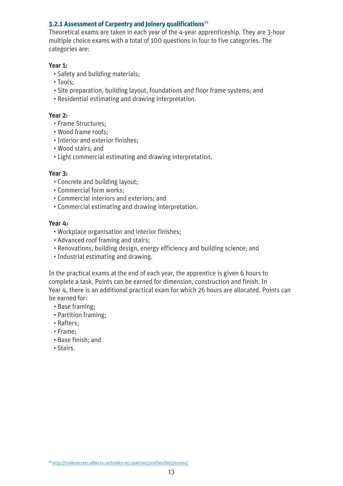#### **3.2.1 Assessment of Carpentry and Joinery qualifications**<sup>19</sup>

Theoretical exams are taken in each year of the 4-year apprenticeship. They are 3-hour multiple choice exams with a total of 100 questions in four to five categories. The categories are:

#### **Year 1:**

- Safety and building materials;
- Tools;
- Site preparation, building layout, foundations and floor frame systems; and
- Residential estimating and drawing interpretation.

#### **Year 2:**

- Frame Structures;
- Wood frame roofs;
- Interior and exterior finishes;
- Wood stairs; and
- Light commercial estimating and drawing interpretation.

#### **Year 3:**

- Concrete and building layout;
- Commercial form works;
- Commercial interiors and exteriors; and
- Commercial estimating and drawing interpretation.

#### **Year 4:**

- Workplace organisation and interior finishes;
- Advanced roof framing and stairs;
- Renovations, building design, energy efficiency and building science; and
- Industrial estimating and drawing.

In the practical exams at the end of each year, the apprentice is given 6 hours to complete a task. Points can be earned for dimension, construction and finish. In Year 4, there is an additional practical exam for which 26 hours are allocated. Points can be earned for:

- Base framing;
- Partition framing;
- Rafters;
- Frame;
- Base finish; and
- Stairs.

<sup>19</sup> <http://tradesecrets.alberta.ca/trades-occupations/profiles/002/exams/>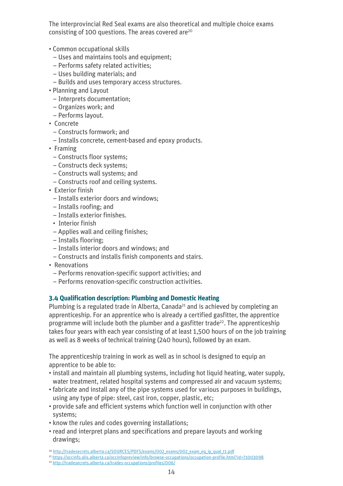The interprovincial Red Seal exams are also theoretical and multiple choice exams consisting of 100 questions. The areas covered are<sup>20</sup>

- Common occupational skills
	- Uses and maintains tools and equipment;
	- Performs safety related activities;
	- Uses building materials; and
	- Builds and uses temporary access structures.
- Planning and Layout
- Interprets documentation;
- Organizes work; and
- Performs layout.
- Concrete
	- Constructs formwork; and
	- Installs concrete, cement-based and epoxy products.
- Framing
	- Constructs floor systems;
	- Constructs deck systems;
	- Constructs wall systems; and
	- Constructs roof and ceiling systems.
- Exterior finish
	- Installs exterior doors and windows;
	- Installs roofing; and
	- Installs exterior finishes.
	- Interior finish
	- Applies wall and ceiling finishes;
	- Installs flooring;
	- Installs interior doors and windows; and
	- Constructs and installs finish components and stairs.
- Renovations
	- Performs renovation-specific support activities; and
- Performs renovation-specific construction activities.

#### **3.4 Qualification description: Plumbing and Domestic Heating**

Plumbing is a regulated trade in Alberta, Canada<sup>21</sup> and is achieved by completing an apprenticeship. For an apprentice who is already a certified gasfitter, the apprentice programme will include both the plumber and a gasfitter trade<sup>22</sup>. The apprenticeship takes four years with each year consisting of at least 1,500 hours of on the job training as well as 8 weeks of technical training (240 hours), followed by an exam.

The apprenticeship training in work as well as in school is designed to equip an apprentice to be able to:

- install and maintain all plumbing systems, including hot liquid heating, water supply, water treatment, related hospital systems and compressed air and vacuum systems;
- fabricate and install any of the pipe systems used for various purposes in buildings, using any type of pipe: steel, cast iron, copper, plastic, etc;
- provide safe and efficient systems which function well in conjunction with other systems;
- know the rules and codes governing installations;
- read and interpret plans and specifications and prepare layouts and working drawings;

<sup>21</sup> <https://occinfo.alis.alberta.ca/occinfopreview/info/browse-occupations/occupation-profile.html?id=71003098>

<sup>&</sup>lt;sup>20</sup> [http://tradesecrets.alberta.ca/SOURCES/PDFS/exams/002\\_exams/002\\_exam\\_eq\\_ip\\_qual\\_t1.pdf](http://tradesecrets.alberta.ca/SOURCES/PDFS/exams/002_exams/002_exam_eq_ip_qual_t1.pdf)

<sup>22</sup> <http://tradesecrets.alberta.ca/trades-occupations/profiles/006/>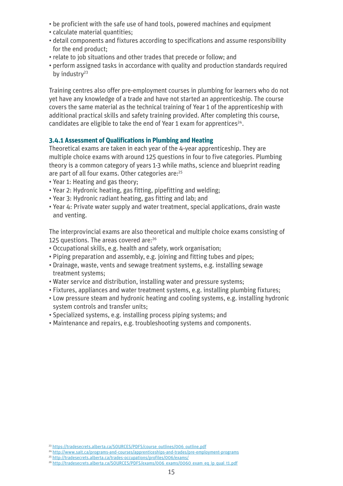- be proficient with the safe use of hand tools, powered machines and equipment
- calculate material quantities;
- detail components and fixtures according to specifications and assume responsibility for the end product;
- relate to job situations and other trades that precede or follow; and
- perform assigned tasks in accordance with quality and production standards required by industry $23$

Training centres also offer pre-employment courses in plumbing for learners who do not yet have any knowledge of a trade and have not started an apprenticeship. The course covers the same material as the technical training of Year 1 of the apprenticeship with additional practical skills and safety training provided. After completing this course, candidates are eligible to take the end of Year 1 exam for apprentices<sup>24</sup>.

#### **3.4.1 Assessment of Qualifications in Plumbing and Heating**

Theoretical exams are taken in each year of the 4-year apprenticeship. They are multiple choice exams with around 125 questions in four to five categories. Plumbing theory is a common category of years 1-3 while maths, science and blueprint reading are part of all four exams. Other categories are:<sup>25</sup>

- Year 1: Heating and gas theory;
- Year 2: Hydronic heating, gas fitting, pipefitting and welding;
- Year 3: Hydronic radiant heating, gas fitting and lab; and
- Year 4: Private water supply and water treatment, special applications, drain waste and venting.

The interprovincial exams are also theoretical and multiple choice exams consisting of 125 questions. The areas covered are:<sup>26</sup>

- Occupational skills, e.g. health and safety, work organisation;
- Piping preparation and assembly, e.g. joining and fitting tubes and pipes;
- Drainage, waste, vents and sewage treatment systems, e.g. installing sewage treatment systems;
- Water service and distribution, installing water and pressure systems;
- Fixtures, appliances and water treatment systems, e.g. installing plumbing fixtures;
- Low pressure steam and hydronic heating and cooling systems, e.g. installing hydronic system controls and transfer units;
- Specialized systems, e.g. installing process piping systems; and
- Maintenance and repairs, e.g. troubleshooting systems and components.

<sup>26</sup> [http://tradesecrets.alberta.ca/SOURCES/PDFS/exams/006\\_exams/0060\\_exam\\_eq\\_ip\\_qual\\_t1.pdf](http://tradesecrets.alberta.ca/SOURCES/PDFS/exams/006_exams/0060_exam_eq_ip_qual_t1.pdf)

<sup>&</sup>lt;sup>23</sup> [https://tradesecrets.alberta.ca/SOURCES/PDFS/course\\_outlines/006\\_outline.pdf](https://tradesecrets.alberta.ca/SOURCES/PDFS/course_outlines/006_outline.pdf)

<sup>24</sup> <http://www.sait.ca/programs-and-courses/apprenticeships-and-trades/pre-employment-programs>

<sup>25</sup> <http://tradesecrets.alberta.ca/trades-occupations/profiles/006/exams/>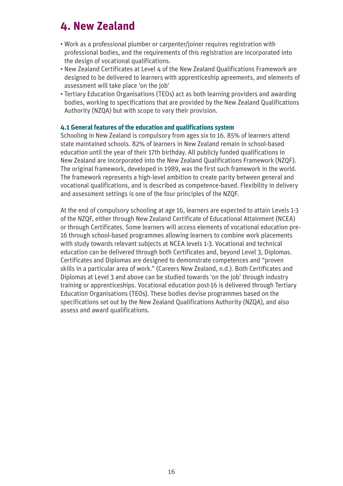### **4. New Zealand**

- Work as a professional plumber or carpenter/joiner requires registration with professional bodies, and the requirements of this registration are incorporated into the design of vocational qualifications.
- New Zealand Certificates at Level 4 of the New Zealand Qualifications Framework are designed to be delivered to learners with apprenticeship agreements, and elements of assessment will take place 'on the job'
- Tertiary Education Organisations (TEOs) act as both learning providers and awarding bodies, working to specifications that are provided by the New Zealand Qualifications Authority (NZQA) but with scope to vary their provision.

#### **4.1 General features of the education and qualifications system**

Schooling in New Zealand is compulsory from ages six to 16. 85% of learners attend state maintained schools. 82% of learners in New Zealand remain in school-based education until the year of their 17th birthday. All publicly funded qualifications in New Zealand are incorporated into the New Zealand Qualifications Framework (NZQF). The original framework, developed in 1989, was the first such framework in the world. The framework represents a high-level ambition to create parity between general and vocational qualifications, and is described as competence-based. Flexibility in delivery and assessment settings is one of the four principles of the NZQF.

At the end of compulsory schooling at age 16, learners are expected to attain Levels 1-3 of the NZQF, either through New Zealand Certificate of Educational Attainment (NCEA) or through Certificates. Some learners will access elements of vocational education pre-16 through school-based programmes allowing learners to combine work placements with study towards relevant subjects at NCEA levels 1-3. Vocational and technical education can be delivered through both Certificates and, beyond Level 3, Diplomas. Certificates and Diplomas are designed to demonstrate competences and "proven skills in a particular area of work." (Careers New Zealand, n.d.). Both Certificates and Diplomas at Level 3 and above can be studied towards 'on the job' through industry training or apprenticeships. Vocational education post-16 is delivered through Tertiary Education Organisations (TEOs). These bodies devise programmes based on the specifications set out by the New Zealand Qualifications Authority (NZQA), and also assess and award qualifications.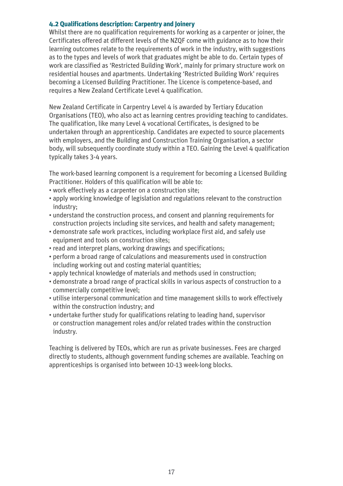#### **4.2 Qualifications description: Carpentry and Joinery**

Whilst there are no qualification requirements for working as a carpenter or joiner, the Certificates offered at different levels of the NZQF come with guidance as to how their learning outcomes relate to the requirements of work in the industry, with suggestions as to the types and levels of work that graduates might be able to do. Certain types of work are classified as 'Restricted Building Work', mainly for primary structure work on residential houses and apartments. Undertaking 'Restricted Building Work' requires becoming a Licensed Building Practitioner. The Licence is competence-based, and requires a New Zealand Certificate Level 4 qualification.

New Zealand Certificate in Carpentry Level 4 is awarded by Tertiary Education Organisations (TEO), who also act as learning centres providing teaching to candidates. The qualification, like many Level 4 vocational Certificates, is designed to be undertaken through an apprenticeship. Candidates are expected to source placements with employers, and the Building and Construction Training Organisation, a sector body, will subsequently coordinate study within a TEO. Gaining the Level 4 qualification typically takes 3-4 years.

The work-based learning component is a requirement for becoming a Licensed Building Practitioner. Holders of this qualification will be able to:

- work effectively as a carpenter on a construction site;
- apply working knowledge of legislation and regulations relevant to the construction industry;
- understand the construction process, and consent and planning requirements for construction projects including site services, and health and safety management;
- demonstrate safe work practices, including workplace first aid, and safely use equipment and tools on construction sites;
- read and interpret plans, working drawings and specifications;
- perform a broad range of calculations and measurements used in construction including working out and costing material quantities;
- apply technical knowledge of materials and methods used in construction;
- demonstrate a broad range of practical skills in various aspects of construction to a commercially competitive level;
- utilise interpersonal communication and time management skills to work effectively within the construction industry; and
- undertake further study for qualifications relating to leading hand, supervisor or construction management roles and/or related trades within the construction industry.

Teaching is delivered by TEOs, which are run as private businesses. Fees are charged directly to students, although government funding schemes are available. Teaching on apprenticeships is organised into between 10-13 week-long blocks.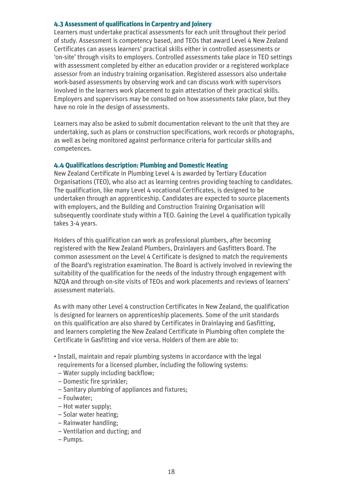#### **4.3 Assessment of qualifications in Carpentry and Joinery**

Learners must undertake practical assessments for each unit throughout their period of study. Assessment is competency based, and TEOs that award Level 4 New Zealand Certificates can assess learners' practical skills either in controlled assessments or 'on-site' through visits to employers. Controlled assessments take place in TEO settings with assessment completed by either an education provider or a registered workplace assessor from an industry training organisation. Registered assessors also undertake work-based assessments by observing work and can discuss work with supervisors involved in the learners work placement to gain attestation of their practical skills. Employers and supervisors may be consulted on how assessments take place, but they have no role in the design of assessments.

Learners may also be asked to submit documentation relevant to the unit that they are undertaking, such as plans or construction specifications, work records or photographs, as well as being monitored against performance criteria for particular skills and competences.

#### **4.4 Qualifications description: Plumbing and Domestic Heating**

New Zealand Certificate in Plumbing Level 4 is awarded by Tertiary Education Organisations (TEO), who also act as learning centres providing teaching to candidates. The qualification, like many Level 4 vocational Certificates, is designed to be undertaken through an apprenticeship. Candidates are expected to source placements with employers, and the Building and Construction Training Organisation will subsequently coordinate study within a TEO. Gaining the Level 4 qualification typically takes 3-4 years.

Holders of this qualification can work as professional plumbers, after becoming registered with the New Zealand Plumbers, Drainlayers and Gasfitters Board. The common assessment on the Level 4 Certificate is designed to match the requirements of the Board's registration examination. The Board is actively involved in reviewing the suitability of the qualification for the needs of the industry through engagement with NZQA and through on-site visits of TEOs and work placements and reviews of learners' assessment materials.

As with many other Level 4 construction Certificates in New Zealand, the qualification is designed for learners on apprenticeship placements. Some of the unit standards on this qualification are also shared by Certificates in Drainlaying and Gasfitting, and learners completing the New Zealand Certificate in Plumbing often complete the Certificate in Gasfitting and vice versa. Holders of them are able to:

- Install, maintain and repair plumbing systems in accordance with the legal requirements for a licensed plumber, including the following systems:
	- Water supply including backflow;
	- Domestic fire sprinkler;
	- Sanitary plumbing of appliances and fixtures;
	- Foulwater;
	- Hot water supply;
	- Solar water heating;
	- Rainwater handling;
	- Ventilation and ducting; and
	- Pumps.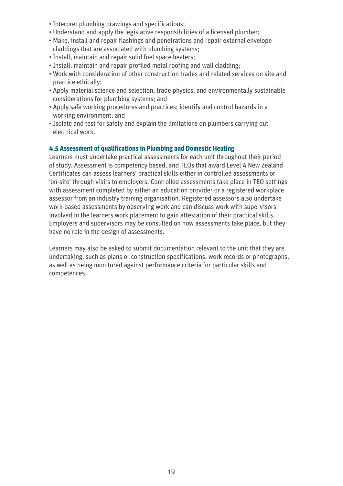- Interpret plumbing drawings and specifications;
- Understand and apply the legislative responsibilities of a licensed plumber;
- Make, install and repair flashings and penetrations and repair external envelope claddings that are associated with plumbing systems;
- Install, maintain and repair solid fuel space heaters;
- Install, maintain and repair profiled metal roofing and wall cladding;
- Work with consideration of other construction trades and related services on site and practice ethically;
- Apply material science and selection, trade physics, and environmentally sustainable considerations for plumbing systems; and
- Apply safe working procedures and practices; identify and control hazards in a working environment; and
- Isolate and test for safety and explain the limitations on plumbers carrying out electrical work.

#### **4.5 Assessment of qualifications in Plumbing and Domestic Heating**

Learners must undertake practical assessments for each unit throughout their period of study. Assessment is competency based, and TEOs that award Level 4 New Zealand Certificates can assess learners' practical skills either in controlled assessments or 'on-site' through visits to employers. Controlled assessments take place in TEO settings with assessment completed by either an education provider or a registered workplace assessor from an industry training organisation. Registered assessors also undertake work-based assessments by observing work and can discuss work with supervisors involved in the learners work placement to gain attestation of their practical skills. Employers and supervisors may be consulted on how assessments take place, but they have no role in the design of assessments.

Learners may also be asked to submit documentation relevant to the unit that they are undertaking, such as plans or construction specifications, work records or photographs, as well as being monitored against performance criteria for particular skills and competences.